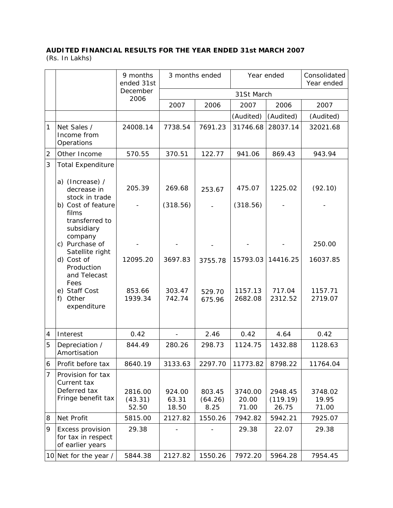## **AUDITED FINANCIAL RESULTS FOR THE YEAR ENDED 31st MARCH 2007**  (Rs. In Lakhs)

|                | 9 months<br>ended 31st                                                 |                             | 3 months ended           |                           | Year ended                |                              | Consolidated<br>Year ended |  |
|----------------|------------------------------------------------------------------------|-----------------------------|--------------------------|---------------------------|---------------------------|------------------------------|----------------------------|--|
|                |                                                                        | December<br>2006            |                          | 31St March                |                           |                              |                            |  |
|                |                                                                        |                             | 2007                     | 2006                      | 2007                      | 2006                         | 2007                       |  |
|                |                                                                        |                             |                          |                           | (Audited)                 | (Audited)                    | (Audited)                  |  |
| 1              | Net Sales /<br>Income from<br>Operations                               | 24008.14                    | 7738.54                  | 7691.23                   | 31746.68                  | 28037.14                     | 32021.68                   |  |
| $\overline{2}$ | Other Income                                                           | 570.55                      | 370.51                   | 122.77                    | 941.06                    | 869.43                       | 943.94                     |  |
| 3              | <b>Total Expenditure</b><br>a) (Increase) /                            |                             |                          |                           |                           |                              |                            |  |
|                | decrease in<br>stock in trade                                          | 205.39                      | 269.68                   | 253.67                    | 475.07                    | 1225.02                      | (92.10)                    |  |
|                | b) Cost of feature<br>films<br>transferred to                          |                             | (318.56)                 |                           | (318.56)                  |                              |                            |  |
|                | subsidiary<br>company<br>c) Purchase of                                |                             |                          |                           |                           |                              | 250.00                     |  |
|                | Satellite right<br>d) Cost of<br>Production<br>and Telecast<br>Fees    | 12095.20                    | 3697.83                  | 3755.78                   | 15793.03                  | 14416.25                     | 16037.85                   |  |
|                | e) Staff Cost<br>Other<br>$f$ )<br>expenditure                         | 853.66<br>1939.34           | 303.47<br>742.74         | 529.70<br>675.96          | 1157.13<br>2682.08        | 717.04<br>2312.52            | 1157.71<br>2719.07         |  |
| 4              | Interest                                                               | 0.42                        |                          | 2.46                      | 0.42                      | 4.64                         | 0.42                       |  |
| 5              | Depreciation /<br>Amortisation                                         | 844.49                      | 280.26                   | 298.73                    | 1124.75                   | 1432.88                      | 1128.63                    |  |
| 6              | Profit before tax                                                      | 8640.19                     | 3133.63                  | 2297.70                   | 11773.82                  | 8798.22                      | 11764.04                   |  |
| 7              | Provision for tax<br>Current tax<br>Deferred tax<br>Fringe benefit tax | 2816.00<br>(43.31)<br>52.50 | 924.00<br>63.31<br>18.50 | 803.45<br>(64.26)<br>8.25 | 3740.00<br>20.00<br>71.00 | 2948.45<br>(119.19)<br>26.75 | 3748.02<br>19.95<br>71.00  |  |
| 8              | Net Profit                                                             | 5815.00                     | 2127.82                  | 1550.26                   | 7942.82                   | 5942.21                      | 7925.07                    |  |
| 9              | Excess provision<br>for tax in respect<br>of earlier years             | 29.38                       |                          |                           | 29.38                     | 22.07                        | 29.38                      |  |
|                | 10 Net for the year /                                                  | 5844.38                     | 2127.82                  | 1550.26                   | 7972.20                   | 5964.28                      | 7954.45                    |  |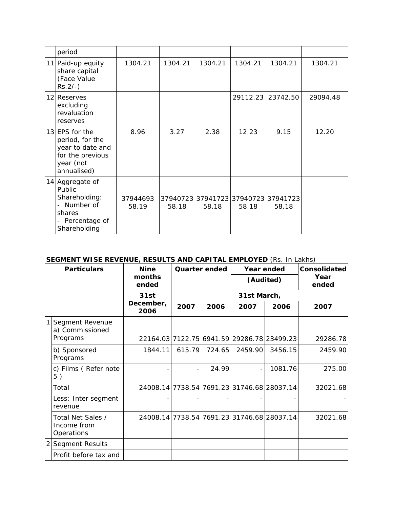| period                                                                                                  |                   |         |         |         |                                              |          |
|---------------------------------------------------------------------------------------------------------|-------------------|---------|---------|---------|----------------------------------------------|----------|
| 11 Paid-up equity<br>share capital<br>(Face Value<br>$Rs.2/-$ )                                         | 1304.21           | 1304.21 | 1304.21 | 1304.21 | 1304.21                                      | 1304.21  |
| 12 Reserves<br>excluding<br>revaluation<br>reserves                                                     |                   |         |         |         | 29112.23 23742.50                            | 29094.48 |
| $13$ EPS for the<br>period, for the<br>year to date and<br>for the previous<br>year (not<br>annualised) | 8.96              | 3.27    | 2.38    | 12.23   | 9.15                                         | 12.20    |
| 14 Aggregate of<br>Public<br>Shareholding:<br>Number of<br>shares<br>- Percentage of<br>Shareholding    | 37944693<br>58.19 | 58.18   | 58.18   | 58.18   | 37940723 37941723 37940723 37941723<br>58.18 |          |

## **SEGMENT WISE REVENUE, RESULTS AND CAPITAL EMPLOYED** (Rs. In Lakhs)

| <b>Particulars</b> |                                                | <b>Nine</b>               | Quarter ended |        | Year ended<br>(Audited)                    |         | Consolidated  |  |
|--------------------|------------------------------------------------|---------------------------|---------------|--------|--------------------------------------------|---------|---------------|--|
|                    |                                                | months<br>ended           |               |        |                                            |         | Year<br>ended |  |
|                    |                                                | 31st<br>December,<br>2006 | 31st March,   |        |                                            |         |               |  |
|                    |                                                |                           | 2007          | 2006   | 2007                                       | 2006    | 2007          |  |
| $\mathbf{1}$       | Segment Revenue<br>a) Commissioned             |                           |               |        |                                            |         |               |  |
|                    | Programs                                       |                           |               |        | 22164.03 7122.75 6941.59 29286.78 23499.23 |         | 29286.78      |  |
|                    | b) Sponsored<br>Programs                       | 1844.11                   | 615.79        | 724.65 | 2459.90                                    | 3456.15 | 2459.90       |  |
|                    | c) Films (Refer note<br>5)                     |                           |               | 24.99  |                                            | 1081.76 | 275.00        |  |
|                    | Total                                          |                           |               |        | 24008.14 7738.54 7691.23 31746.68 28037.14 |         | 32021.68      |  |
|                    | Less: Inter segment<br>revenue                 |                           |               |        |                                            |         |               |  |
|                    | Total Net Sales /<br>Income from<br>Operations |                           |               |        | 24008.14 7738.54 7691.23 31746.68 28037.14 |         | 32021.68      |  |
| $\overline{2}$     | <b>Segment Results</b>                         |                           |               |        |                                            |         |               |  |
|                    | Profit before tax and                          |                           |               |        |                                            |         |               |  |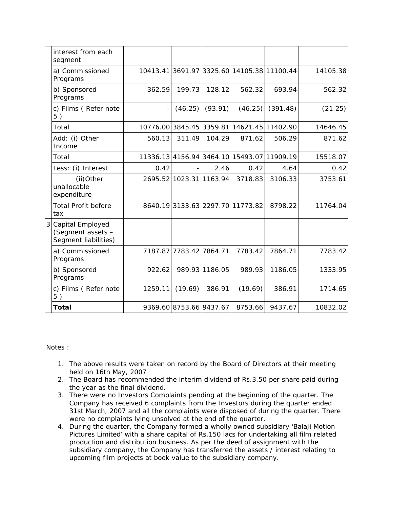| interest from each<br>segment                                 |         |                         |                |                                            |          |          |
|---------------------------------------------------------------|---------|-------------------------|----------------|--------------------------------------------|----------|----------|
| a) Commissioned<br>Programs                                   |         |                         |                | 10413.41 3691.97 3325.60 14105.38 11100.44 |          | 14105.38 |
| b) Sponsored<br>Programs                                      | 362.59  | 199.73                  | 128.12         | 562.32                                     | 693.94   | 562.32   |
| c) Films (Refer note<br>5)                                    |         | (46.25)                 | (93.91)        | (46.25)                                    | (391.48) | (21.25)  |
| Total                                                         |         |                         |                | 10776.00 3845.45 3359.81 14621.45 11402.90 |          | 14646.45 |
| Add: (i) Other<br>Income                                      | 560.13  | 311.49                  | 104.29         | 871.62                                     | 506.29   | 871.62   |
| Total                                                         |         |                         |                | 11336.13 4156.94 3464.10 15493.07 11909.19 |          | 15518.07 |
| Less: (i) Interest                                            | 0.42    |                         | 2.46           | 0.42                                       | 4.64     | 0.42     |
| (ii)Other<br>unallocable<br>expenditure                       |         | 2695.52 1023.31 1163.94 |                | 3718.83                                    | 3106.33  | 3753.61  |
| <b>Total Profit before</b><br>tax                             |         |                         |                | 8640.193133.632297.7011773.82              | 8798.22  | 11764.04 |
| Capital Employed<br>(Segment assets -<br>Segment liabilities) |         |                         |                |                                            |          |          |
| a) Commissioned<br>Programs                                   | 7187.87 | 7783.42 7864.71         |                | 7783.42                                    | 7864.71  | 7783.42  |
| b) Sponsored<br>Programs                                      | 922.62  |                         | 989.93 1186.05 | 989.93                                     | 1186.05  | 1333.95  |
| c) Films (Refer note<br>5)                                    | 1259.11 | (19.69)                 | 386.91         | (19.69)                                    | 386.91   | 1714.65  |
| <b>Total</b>                                                  |         | 9369.60 8753.66 9437.67 |                | 8753.66                                    | 9437.67  | 10832.02 |

Notes :

- 1. The above results were taken on record by the Board of Directors at their meeting held on 16th May, 2007
- 2. The Board has recommended the interim dividend of Rs.3.50 per share paid during the year as the final dividend.
- 3. There were no Investors Complaints pending at the beginning of the quarter. The Company has received 6 complaints from the Investors during the quarter ended 31st March, 2007 and all the complaints were disposed of during the quarter. There were no complaints lying unsolved at the end of the quarter.
- 4. During the quarter, the Company formed a wholly owned subsidiary 'Balaji Motion Pictures Limited' with a share capital of Rs.150 lacs for undertaking all film related production and distribution business. As per the deed of assignment with the subsidiary company, the Company has transferred the assets / interest relating to upcoming film projects at book value to the subsidiary company.